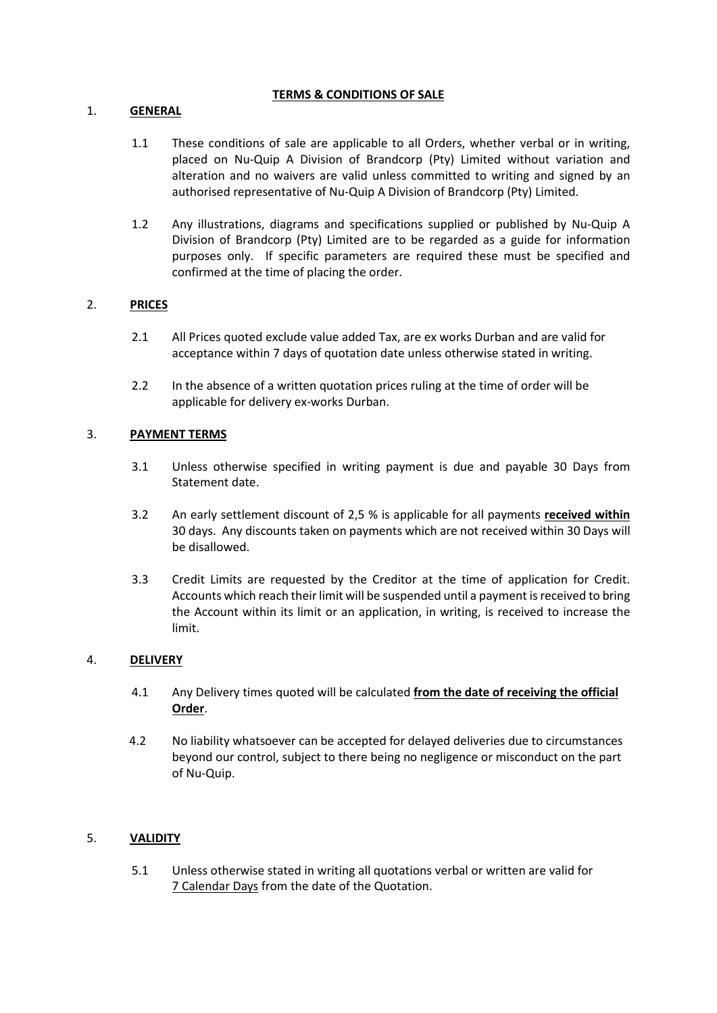### TERMS & CONDITIONS OF SALE

## 1. GENERAL

- 1.1 These conditions of sale are applicable to all Orders, whether verbal or in writing, placed on Nu-Quip A Division of Brandcorp (Pty) Limited without variation and alteration and no waivers are valid unless committed to writing and signed by an authorised representative of Nu-Quip A Division of Brandcorp (Pty) Limited.
- 1.2 Any illustrations, diagrams and specifications supplied or published by Nu-Quip A Division of Brandcorp (Pty) Limited are to be regarded as a guide for information purposes only. If specific parameters are required these must be specified and confirmed at the time of placing the order.

# 2. PRICES

- 2.1 All Prices quoted exclude value added Tax, are ex works Durban and are valid for acceptance within 7 days of quotation date unless otherwise stated in writing.
- 2.2 In the absence of a written quotation prices ruling at the time of order will be applicable for delivery ex-works Durban.

# 3. PAYMENT TERMS

- 3.1 Unless otherwise specified in writing payment is due and payable 30 Days from Statement date.
- 3.2 An early settlement discount of 2,5 % is applicable for all payments received within 30 days. Any discounts taken on payments which are not received within 30 Days will be disallowed.
- 3.3 Credit Limits are requested by the Creditor at the time of application for Credit. Accounts which reach their limit will be suspended until a payment is received to bring the Account within its limit or an application, in writing, is received to increase the limit.

### 4. DELIVERY

- 4.1 Any Delivery times quoted will be calculated from the date of receiving the official Order.
- 4.2 No liability whatsoever can be accepted for delayed deliveries due to circumstances beyond our control, subject to there being no negligence or misconduct on the part of Nu-Quip.

### 5. VALIDITY

5.1 Unless otherwise stated in writing all quotations verbal or written are valid for 7 Calendar Days from the date of the Quotation.